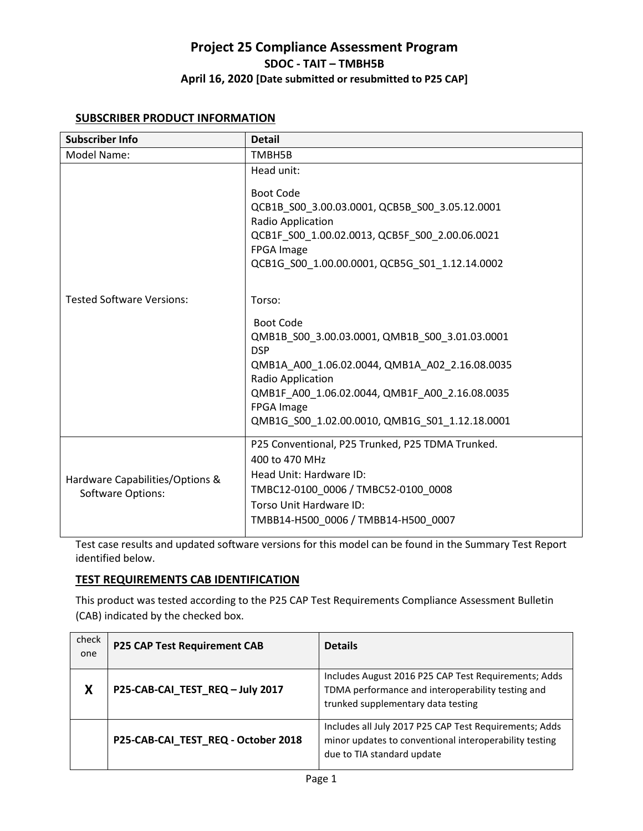#### **SUBSCRIBER PRODUCT INFORMATION**

| <b>Subscriber Info</b>                                      | <b>Detail</b>                                                                                                                                                                                                                                                                                                                                                                                |
|-------------------------------------------------------------|----------------------------------------------------------------------------------------------------------------------------------------------------------------------------------------------------------------------------------------------------------------------------------------------------------------------------------------------------------------------------------------------|
| Model Name:                                                 | TMBH5B                                                                                                                                                                                                                                                                                                                                                                                       |
| <b>Tested Software Versions:</b>                            | Head unit:<br><b>Boot Code</b><br>QCB1B S00 3.00.03.0001, QCB5B S00 3.05.12.0001<br>Radio Application<br>QCB1F S00 1.00.02.0013, QCB5F S00 2.00.06.0021<br>FPGA Image<br>QCB1G S00 1.00.00.0001, QCB5G S01 1.12.14.0002<br>Torso:<br><b>Boot Code</b><br>QMB1B S00 3.00.03.0001, QMB1B S00 3.01.03.0001<br><b>DSP</b><br>QMB1A A00 1.06.02.0044, QMB1A A02 2.16.08.0035<br>Radio Application |
|                                                             | QMB1F A00 1.06.02.0044, QMB1F A00 2.16.08.0035<br><b>FPGA Image</b><br>QMB1G S00 1.02.00.0010, QMB1G S01 1.12.18.0001                                                                                                                                                                                                                                                                        |
| Hardware Capabilities/Options &<br><b>Software Options:</b> | P25 Conventional, P25 Trunked, P25 TDMA Trunked.<br>400 to 470 MHz<br>Head Unit: Hardware ID:<br>TMBC12-0100 0006 / TMBC52-0100 0008<br>Torso Unit Hardware ID:<br>TMBB14-H500 0006 / TMBB14-H500 0007                                                                                                                                                                                       |

Test case results and updated software versions for this model can be found in the Summary Test Report identified below.

### **TEST REQUIREMENTS CAB IDENTIFICATION**

This product was tested according to the P25 CAP Test Requirements Compliance Assessment Bulletin (CAB) indicated by the checked box.

| check<br>one | <b>P25 CAP Test Requirement CAB</b> | <b>Details</b>                                                                                                                                  |
|--------------|-------------------------------------|-------------------------------------------------------------------------------------------------------------------------------------------------|
| X            | P25-CAB-CAI_TEST_REQ - July 2017    | Includes August 2016 P25 CAP Test Requirements; Adds<br>TDMA performance and interoperability testing and<br>trunked supplementary data testing |
|              | P25-CAB-CAI_TEST_REQ - October 2018 | Includes all July 2017 P25 CAP Test Requirements; Adds<br>minor updates to conventional interoperability testing<br>due to TIA standard update  |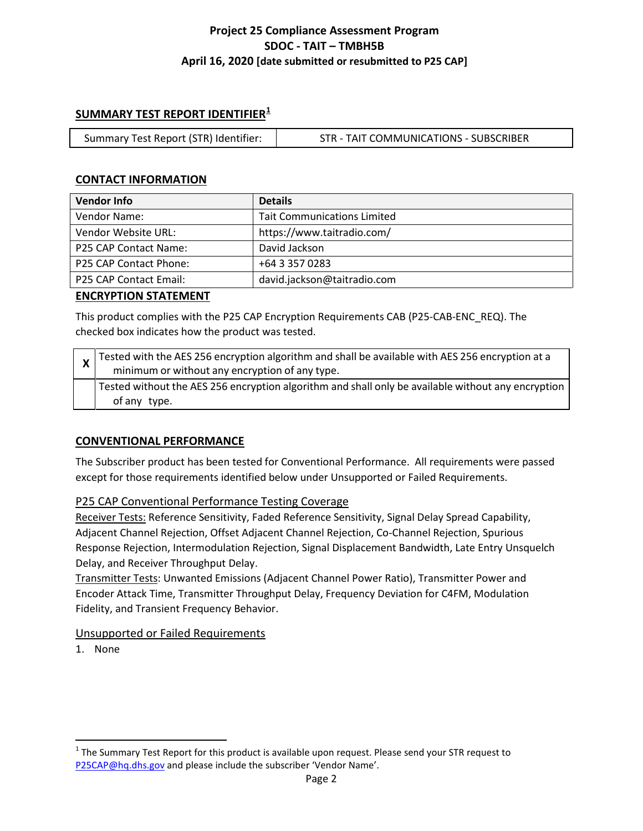### **SUMMARY TEST REPORT IDENTIFIER[1](#page-1-0)**

| Summary Test Report (STR) Identifier: | STR - TAIT COMMUNICATIONS - SUBSCRIBER |
|---------------------------------------|----------------------------------------|
|---------------------------------------|----------------------------------------|

### **CONTACT INFORMATION**

| <b>Vendor Info</b>     | <b>Details</b>                     |
|------------------------|------------------------------------|
| Vendor Name:           | <b>Tait Communications Limited</b> |
| Vendor Website URL:    | https://www.taitradio.com/         |
| P25 CAP Contact Name:  | David Jackson                      |
| P25 CAP Contact Phone: | +64 3 357 0283                     |
| P25 CAP Contact Email: | david.jackson@taitradio.com        |

#### **ENCRYPTION STATEMENT**

This product complies with the P25 CAP Encryption Requirements CAB (P25-CAB-ENC\_REQ). The checked box indicates how the product was tested.

| $\mathbf{\Lambda}$ | $\chi$ Tested with the AES 256 encryption algorithm and shall be available with AES 256 encryption at a<br>minimum or without any encryption of any type. |
|--------------------|-----------------------------------------------------------------------------------------------------------------------------------------------------------|
|                    | Tested without the AES 256 encryption algorithm and shall only be available without any encryption  <br>of any type.                                      |

### **CONVENTIONAL PERFORMANCE**

The Subscriber product has been tested for Conventional Performance. All requirements were passed except for those requirements identified below under Unsupported or Failed Requirements.

### P25 CAP Conventional Performance Testing Coverage

Receiver Tests: Reference Sensitivity, Faded Reference Sensitivity, Signal Delay Spread Capability, Adjacent Channel Rejection, Offset Adjacent Channel Rejection, Co-Channel Rejection, Spurious Response Rejection, Intermodulation Rejection, Signal Displacement Bandwidth, Late Entry Unsquelch Delay, and Receiver Throughput Delay.

Transmitter Tests: Unwanted Emissions (Adjacent Channel Power Ratio), Transmitter Power and Encoder Attack Time, Transmitter Throughput Delay, Frequency Deviation for C4FM, Modulation Fidelity, and Transient Frequency Behavior.

#### Unsupported or Failed Requirements

1. None

 $\overline{\phantom{a}}$ 

<span id="page-1-0"></span> $1$  The Summary Test Report for this product is available upon request. Please send your STR request to [P25CAP@hq.dhs.gov](mailto:P25CAP@hq.dhs.gov) and please include the subscriber 'Vendor Name'.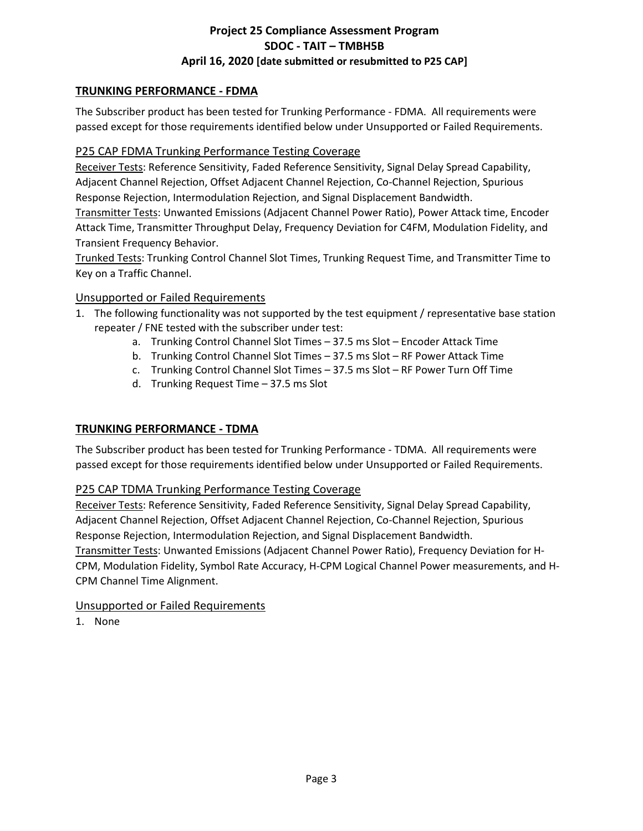### **TRUNKING PERFORMANCE - FDMA**

The Subscriber product has been tested for Trunking Performance - FDMA. All requirements were passed except for those requirements identified below under Unsupported or Failed Requirements.

### P25 CAP FDMA Trunking Performance Testing Coverage

Receiver Tests: Reference Sensitivity, Faded Reference Sensitivity, Signal Delay Spread Capability, Adjacent Channel Rejection, Offset Adjacent Channel Rejection, Co-Channel Rejection, Spurious Response Rejection, Intermodulation Rejection, and Signal Displacement Bandwidth.

Transmitter Tests: Unwanted Emissions (Adjacent Channel Power Ratio), Power Attack time, Encoder Attack Time, Transmitter Throughput Delay, Frequency Deviation for C4FM, Modulation Fidelity, and Transient Frequency Behavior.

Trunked Tests: Trunking Control Channel Slot Times, Trunking Request Time, and Transmitter Time to Key on a Traffic Channel.

### Unsupported or Failed Requirements

- 1. The following functionality was not supported by the test equipment / representative base station repeater / FNE tested with the subscriber under test:
	- a. Trunking Control Channel Slot Times 37.5 ms Slot Encoder Attack Time
	- b. Trunking Control Channel Slot Times 37.5 ms Slot RF Power Attack Time
	- c. Trunking Control Channel Slot Times 37.5 ms Slot RF Power Turn Off Time
	- d. Trunking Request Time 37.5 ms Slot

### **TRUNKING PERFORMANCE - TDMA**

The Subscriber product has been tested for Trunking Performance - TDMA. All requirements were passed except for those requirements identified below under Unsupported or Failed Requirements.

# P25 CAP TDMA Trunking Performance Testing Coverage

Receiver Tests: Reference Sensitivity, Faded Reference Sensitivity, Signal Delay Spread Capability, Adjacent Channel Rejection, Offset Adjacent Channel Rejection, Co-Channel Rejection, Spurious Response Rejection, Intermodulation Rejection, and Signal Displacement Bandwidth. Transmitter Tests: Unwanted Emissions (Adjacent Channel Power Ratio), Frequency Deviation for H-

CPM, Modulation Fidelity, Symbol Rate Accuracy, H-CPM Logical Channel Power measurements, and H-CPM Channel Time Alignment.

### Unsupported or Failed Requirements

1. None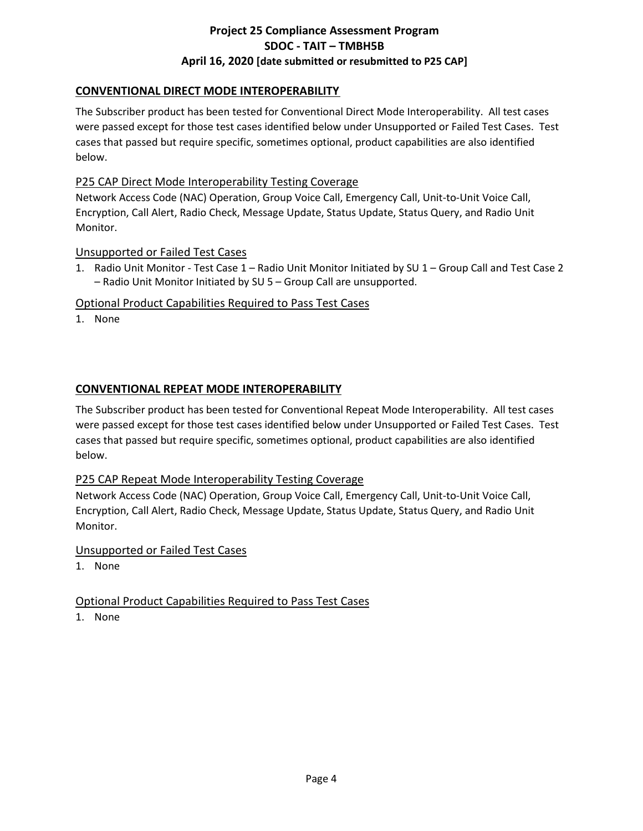# **CONVENTIONAL DIRECT MODE INTEROPERABILITY**

The Subscriber product has been tested for Conventional Direct Mode Interoperability. All test cases were passed except for those test cases identified below under Unsupported or Failed Test Cases. Test cases that passed but require specific, sometimes optional, product capabilities are also identified below.

### P25 CAP Direct Mode Interoperability Testing Coverage

Network Access Code (NAC) Operation, Group Voice Call, Emergency Call, Unit-to-Unit Voice Call, Encryption, Call Alert, Radio Check, Message Update, Status Update, Status Query, and Radio Unit Monitor.

### Unsupported or Failed Test Cases

1. Radio Unit Monitor - Test Case 1 – Radio Unit Monitor Initiated by SU 1 – Group Call and Test Case 2 – Radio Unit Monitor Initiated by SU 5 – Group Call are unsupported.

### Optional Product Capabilities Required to Pass Test Cases

1. None

## **CONVENTIONAL REPEAT MODE INTEROPERABILITY**

The Subscriber product has been tested for Conventional Repeat Mode Interoperability. All test cases were passed except for those test cases identified below under Unsupported or Failed Test Cases. Test cases that passed but require specific, sometimes optional, product capabilities are also identified below.

### P25 CAP Repeat Mode Interoperability Testing Coverage

Network Access Code (NAC) Operation, Group Voice Call, Emergency Call, Unit-to-Unit Voice Call, Encryption, Call Alert, Radio Check, Message Update, Status Update, Status Query, and Radio Unit Monitor.

### Unsupported or Failed Test Cases

1. None

### Optional Product Capabilities Required to Pass Test Cases

1. None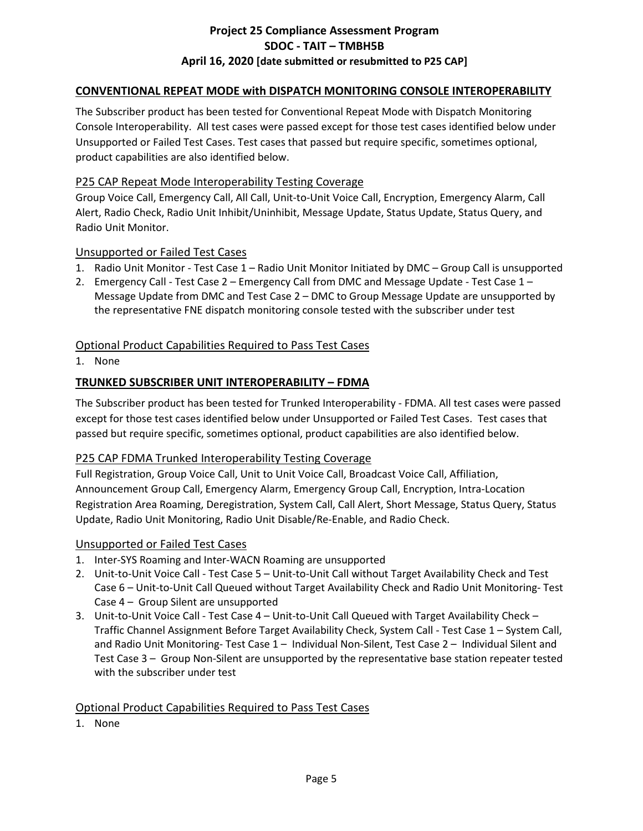### **CONVENTIONAL REPEAT MODE with DISPATCH MONITORING CONSOLE INTEROPERABILITY**

The Subscriber product has been tested for Conventional Repeat Mode with Dispatch Monitoring Console Interoperability. All test cases were passed except for those test cases identified below under Unsupported or Failed Test Cases. Test cases that passed but require specific, sometimes optional, product capabilities are also identified below.

### P25 CAP Repeat Mode Interoperability Testing Coverage

Group Voice Call, Emergency Call, All Call, Unit-to-Unit Voice Call, Encryption, Emergency Alarm, Call Alert, Radio Check, Radio Unit Inhibit/Uninhibit, Message Update, Status Update, Status Query, and Radio Unit Monitor.

#### Unsupported or Failed Test Cases

- 1. Radio Unit Monitor Test Case 1 Radio Unit Monitor Initiated by DMC Group Call is unsupported
- 2. Emergency Call Test Case 2 Emergency Call from DMC and Message Update Test Case 1 Message Update from DMC and Test Case 2 – DMC to Group Message Update are unsupported by the representative FNE dispatch monitoring console tested with the subscriber under test

### Optional Product Capabilities Required to Pass Test Cases

1. None

#### **TRUNKED SUBSCRIBER UNIT INTEROPERABILITY – FDMA**

The Subscriber product has been tested for Trunked Interoperability - FDMA. All test cases were passed except for those test cases identified below under Unsupported or Failed Test Cases. Test cases that passed but require specific, sometimes optional, product capabilities are also identified below.

### P25 CAP FDMA Trunked Interoperability Testing Coverage

Full Registration, Group Voice Call, Unit to Unit Voice Call, Broadcast Voice Call, Affiliation, Announcement Group Call, Emergency Alarm, Emergency Group Call, Encryption, Intra-Location Registration Area Roaming, Deregistration, System Call, Call Alert, Short Message, Status Query, Status Update, Radio Unit Monitoring, Radio Unit Disable/Re-Enable, and Radio Check.

#### Unsupported or Failed Test Cases

- 1. Inter-SYS Roaming and Inter-WACN Roaming are unsupported
- 2. Unit-to-Unit Voice Call Test Case 5 Unit-to-Unit Call without Target Availability Check and Test Case 6 – Unit-to-Unit Call Queued without Target Availability Check and Radio Unit Monitoring- Test Case 4 – Group Silent are unsupported
- 3. Unit-to-Unit Voice Call Test Case 4 Unit-to-Unit Call Queued with Target Availability Check Traffic Channel Assignment Before Target Availability Check, System Call - Test Case 1 – System Call, and Radio Unit Monitoring- Test Case 1 – Individual Non-Silent, Test Case 2 – Individual Silent and Test Case 3 – Group Non-Silent are unsupported by the representative base station repeater tested with the subscriber under test

### Optional Product Capabilities Required to Pass Test Cases

1. None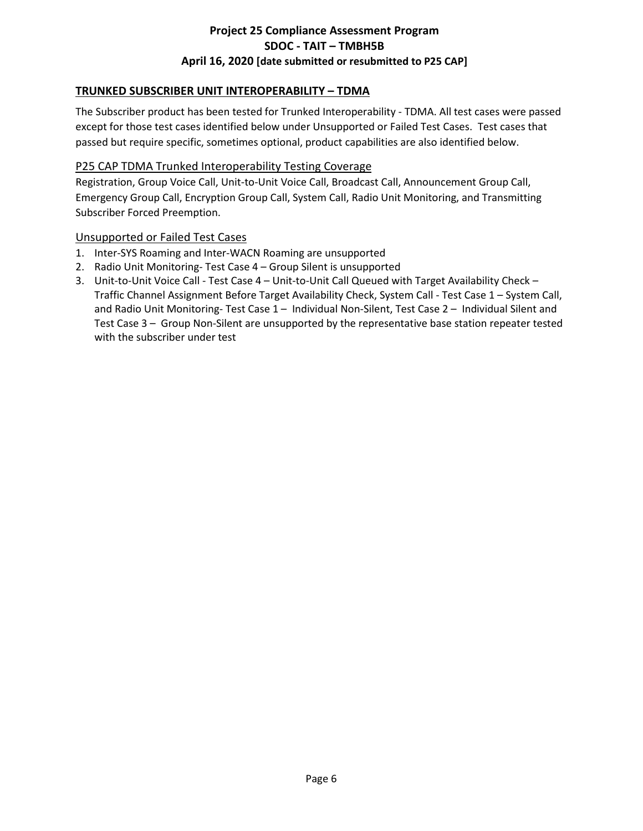# **TRUNKED SUBSCRIBER UNIT INTEROPERABILITY – TDMA**

The Subscriber product has been tested for Trunked Interoperability - TDMA. All test cases were passed except for those test cases identified below under Unsupported or Failed Test Cases. Test cases that passed but require specific, sometimes optional, product capabilities are also identified below.

#### P25 CAP TDMA Trunked Interoperability Testing Coverage

Registration, Group Voice Call, Unit-to-Unit Voice Call, Broadcast Call, Announcement Group Call, Emergency Group Call, Encryption Group Call, System Call, Radio Unit Monitoring, and Transmitting Subscriber Forced Preemption.

#### Unsupported or Failed Test Cases

- 1. Inter-SYS Roaming and Inter-WACN Roaming are unsupported
- 2. Radio Unit Monitoring- Test Case 4 Group Silent is unsupported
- 3. Unit-to-Unit Voice Call Test Case 4 Unit-to-Unit Call Queued with Target Availability Check Traffic Channel Assignment Before Target Availability Check, System Call - Test Case 1 – System Call, and Radio Unit Monitoring- Test Case 1 – Individual Non-Silent, Test Case 2 – Individual Silent and Test Case 3 – Group Non-Silent are unsupported by the representative base station repeater tested with the subscriber under test